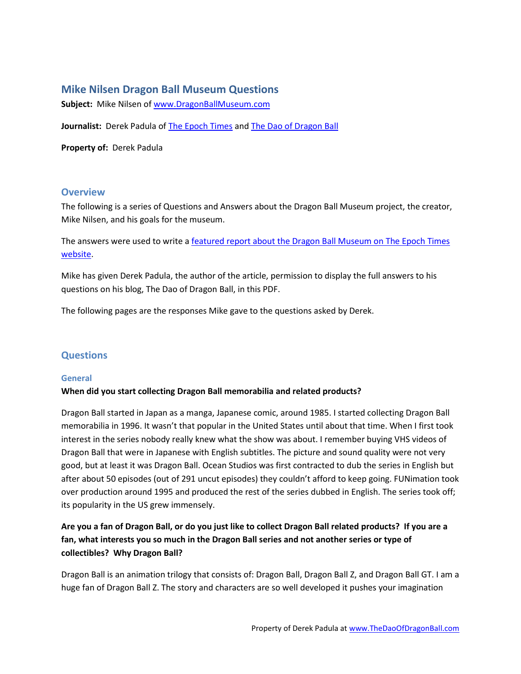# **Mike Nilsen Dragon Ball Museum Questions**

**Subject:** Mike Nilsen o[f www.DragonBallMuseum.com](www.DragonBallMuseum.com)

Journalist: Derek Padula of [The Epoch Times](http://www.theepochtimes.com/) and [The Dao of Dragon Ball](http://www.thedaoofdragonball.com/)

**Property of:** Derek Padula

# **Overview**

The following is a series of Questions and Answers about the Dragon Ball Museum project, the creator, Mike Nilsen, and his goals for the museum.

The answers were used to write a [featured report about the Dragon Ball Museum on The Epoch Times](http://www.theepochtimes.com/n2/content/view/24304/) [website.](http://www.theepochtimes.com/n2/content/view/24304/)

Mike has given Derek Padula, the author of the article, permission to display the full answers to his questions on his blog, The Dao of Dragon Ball, in this PDF.

The following pages are the responses Mike gave to the questions asked by Derek.

# **Questions**

### **General**

### **When did you start collecting Dragon Ball memorabilia and related products?**

Dragon Ball started in Japan as a manga, Japanese comic, around 1985. I started collecting Dragon Ball memorabilia in 1996. It wasn't that popular in the United States until about that time. When I first took interest in the series nobody really knew what the show was about. I remember buying VHS videos of Dragon Ball that were in Japanese with English subtitles. The picture and sound quality were not very good, but at least it was Dragon Ball. Ocean Studios was first contracted to dub the series in English but after about 50 episodes (out of 291 uncut episodes) they couldn't afford to keep going. FUNimation took over production around 1995 and produced the rest of the series dubbed in English. The series took off; its popularity in the US grew immensely.

# **Are you a fan of Dragon Ball, or do you just like to collect Dragon Ball related products? If you are a fan, what interests you so much in the Dragon Ball series and not another series or type of collectibles? Why Dragon Ball?**

Dragon Ball is an animation trilogy that consists of: Dragon Ball, Dragon Ball Z, and Dragon Ball GT. I am a huge fan of Dragon Ball Z. The story and characters are so well developed it pushes your imagination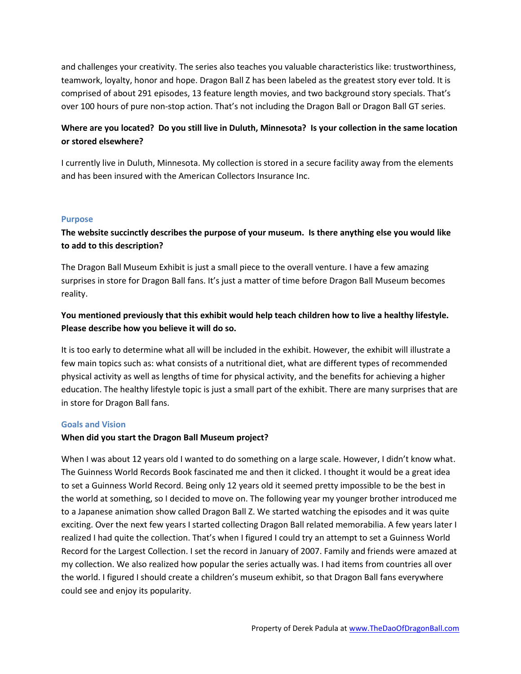and challenges your creativity. The series also teaches you valuable characteristics like: trustworthiness, teamwork, loyalty, honor and hope. Dragon Ball Z has been labeled as the greatest story ever told. It is comprised of about 291 episodes, 13 feature length movies, and two background story specials. That's over 100 hours of pure non-stop action. That's not including the Dragon Ball or Dragon Ball GT series.

# **Where are you located? Do you still live in Duluth, Minnesota? Is your collection in the same location or stored elsewhere?**

I currently live in Duluth, Minnesota. My collection is stored in a secure facility away from the elements and has been insured with the American Collectors Insurance Inc.

### **Purpose**

# **The website succinctly describes the purpose of your museum. Is there anything else you would like to add to this description?**

The Dragon Ball Museum Exhibit is just a small piece to the overall venture. I have a few amazing surprises in store for Dragon Ball fans. It's just a matter of time before Dragon Ball Museum becomes reality.

# **You mentioned previously that this exhibit would help teach children how to live a healthy lifestyle. Please describe how you believe it will do so.**

It is too early to determine what all will be included in the exhibit. However, the exhibit will illustrate a few main topics such as: what consists of a nutritional diet, what are different types of recommended physical activity as well as lengths of time for physical activity, and the benefits for achieving a higher education. The healthy lifestyle topic is just a small part of the exhibit. There are many surprises that are in store for Dragon Ball fans.

### **Goals and Vision**

### **When did you start the Dragon Ball Museum project?**

When I was about 12 years old I wanted to do something on a large scale. However, I didn't know what. The Guinness World Records Book fascinated me and then it clicked. I thought it would be a great idea to set a Guinness World Record. Being only 12 years old it seemed pretty impossible to be the best in the world at something, so I decided to move on. The following year my younger brother introduced me to a Japanese animation show called Dragon Ball Z. We started watching the episodes and it was quite exciting. Over the next few years I started collecting Dragon Ball related memorabilia. A few years later I realized I had quite the collection. That's when I figured I could try an attempt to set a Guinness World Record for the Largest Collection. I set the record in January of 2007. Family and friends were amazed at my collection. We also realized how popular the series actually was. I had items from countries all over the world. I figured I should create a children's museum exhibit, so that Dragon Ball fans everywhere could see and enjoy its popularity.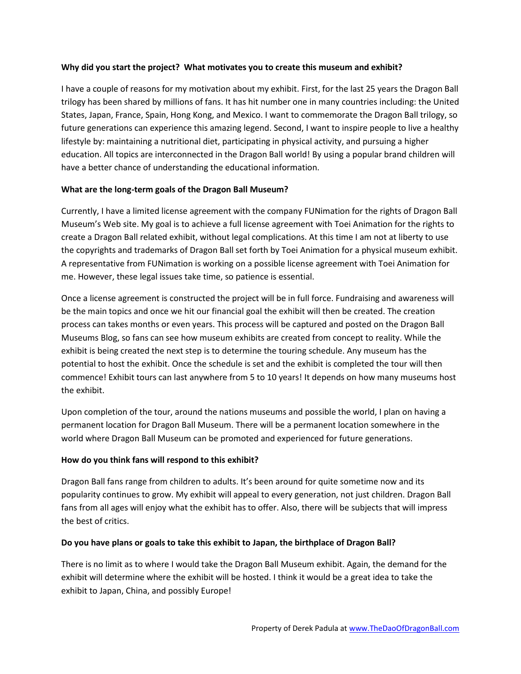## **Why did you start the project? What motivates you to create this museum and exhibit?**

I have a couple of reasons for my motivation about my exhibit. First, for the last 25 years the Dragon Ball trilogy has been shared by millions of fans. It has hit number one in many countries including: the United States, Japan, France, Spain, Hong Kong, and Mexico. I want to commemorate the Dragon Ball trilogy, so future generations can experience this amazing legend. Second, I want to inspire people to live a healthy lifestyle by: maintaining a nutritional diet, participating in physical activity, and pursuing a higher education. All topics are interconnected in the Dragon Ball world! By using a popular brand children will have a better chance of understanding the educational information.

## **What are the long-term goals of the Dragon Ball Museum?**

Currently, I have a limited license agreement with the company FUNimation for the rights of Dragon Ball Museum's Web site. My goal is to achieve a full license agreement with Toei Animation for the rights to create a Dragon Ball related exhibit, without legal complications. At this time I am not at liberty to use the copyrights and trademarks of Dragon Ball set forth by Toei Animation for a physical museum exhibit. A representative from FUNimation is working on a possible license agreement with Toei Animation for me. However, these legal issues take time, so patience is essential.

Once a license agreement is constructed the project will be in full force. Fundraising and awareness will be the main topics and once we hit our financial goal the exhibit will then be created. The creation process can takes months or even years. This process will be captured and posted on the Dragon Ball Museums Blog, so fans can see how museum exhibits are created from concept to reality. While the exhibit is being created the next step is to determine the touring schedule. Any museum has the potential to host the exhibit. Once the schedule is set and the exhibit is completed the tour will then commence! Exhibit tours can last anywhere from 5 to 10 years! It depends on how many museums host the exhibit.

Upon completion of the tour, around the nations museums and possible the world, I plan on having a permanent location for Dragon Ball Museum. There will be a permanent location somewhere in the world where Dragon Ball Museum can be promoted and experienced for future generations.

# **How do you think fans will respond to this exhibit?**

Dragon Ball fans range from children to adults. It's been around for quite sometime now and its popularity continues to grow. My exhibit will appeal to every generation, not just children. Dragon Ball fans from all ages will enjoy what the exhibit has to offer. Also, there will be subjects that will impress the best of critics.

### **Do you have plans or goals to take this exhibit to Japan, the birthplace of Dragon Ball?**

There is no limit as to where I would take the Dragon Ball Museum exhibit. Again, the demand for the exhibit will determine where the exhibit will be hosted. I think it would be a great idea to take the exhibit to Japan, China, and possibly Europe!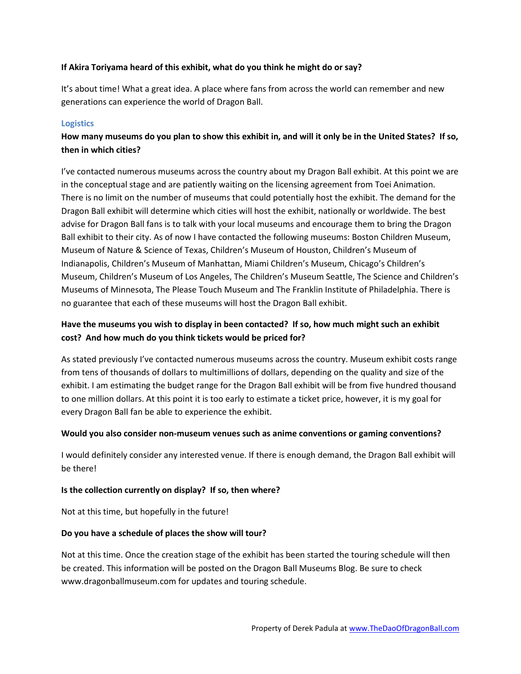## **If Akira Toriyama heard of this exhibit, what do you think he might do or say?**

It's about time! What a great idea. A place where fans from across the world can remember and new generations can experience the world of Dragon Ball.

## **Logistics**

# **How many museums do you plan to show this exhibit in, and will it only be in the United States? If so, then in which cities?**

I've contacted numerous museums across the country about my Dragon Ball exhibit. At this point we are in the conceptual stage and are patiently waiting on the licensing agreement from Toei Animation. There is no limit on the number of museums that could potentially host the exhibit. The demand for the Dragon Ball exhibit will determine which cities will host the exhibit, nationally or worldwide. The best advise for Dragon Ball fans is to talk with your local museums and encourage them to bring the Dragon Ball exhibit to their city. As of now I have contacted the following museums: Boston Children Museum, Museum of Nature & Science of Texas, Children's Museum of Houston, Children's Museum of Indianapolis, Children's Museum of Manhattan, Miami Children's Museum, Chicago's Children's Museum, Children's Museum of Los Angeles, The Children's Museum Seattle, The Science and Children's Museums of Minnesota, The Please Touch Museum and The Franklin Institute of Philadelphia. There is no guarantee that each of these museums will host the Dragon Ball exhibit.

# **Have the museums you wish to display in been contacted? If so, how much might such an exhibit cost? And how much do you think tickets would be priced for?**

As stated previously I've contacted numerous museums across the country. Museum exhibit costs range from tens of thousands of dollars to multimillions of dollars, depending on the quality and size of the exhibit. I am estimating the budget range for the Dragon Ball exhibit will be from five hundred thousand to one million dollars. At this point it is too early to estimate a ticket price, however, it is my goal for every Dragon Ball fan be able to experience the exhibit.

### **Would you also consider non-museum venues such as anime conventions or gaming conventions?**

I would definitely consider any interested venue. If there is enough demand, the Dragon Ball exhibit will be there!

### **Is the collection currently on display? If so, then where?**

Not at this time, but hopefully in the future!

### **Do you have a schedule of places the show will tour?**

Not at this time. Once the creation stage of the exhibit has been started the touring schedule will then be created. This information will be posted on the Dragon Ball Museums Blog. Be sure to check www.dragonballmuseum.com for updates and touring schedule.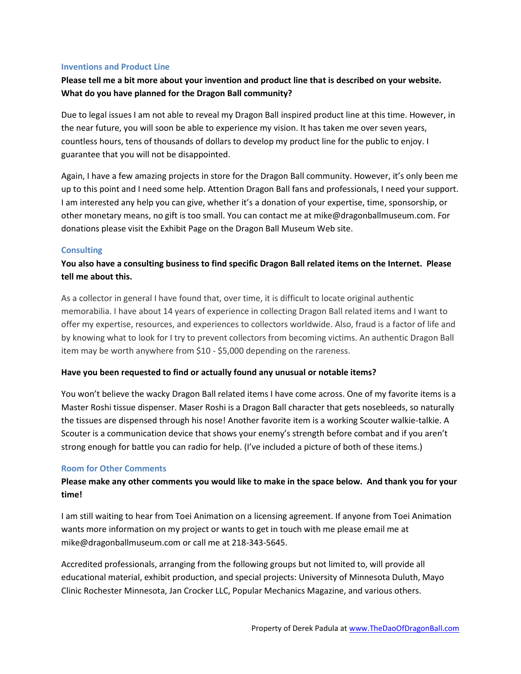#### **Inventions and Product Line**

# **Please tell me a bit more about your invention and product line that is described on your website. What do you have planned for the Dragon Ball community?**

Due to legal issues I am not able to reveal my Dragon Ball inspired product line at this time. However, in the near future, you will soon be able to experience my vision. It has taken me over seven years, countless hours, tens of thousands of dollars to develop my product line for the public to enjoy. I guarantee that you will not be disappointed.

Again, I have a few amazing projects in store for the Dragon Ball community. However, it's only been me up to this point and I need some help. Attention Dragon Ball fans and professionals, I need your support. I am interested any help you can give, whether it's a donation of your expertise, time, sponsorship, or other monetary means, no gift is too small. You can contact me at mike@dragonballmuseum.com. For donations please visit the Exhibit Page on the Dragon Ball Museum Web site.

### **Consulting**

# **You also have a consulting business to find specific Dragon Ball related items on the Internet. Please tell me about this.**

As a collector in general I have found that, over time, it is difficult to locate original authentic memorabilia. I have about 14 years of experience in collecting Dragon Ball related items and I want to offer my expertise, resources, and experiences to collectors worldwide. Also, fraud is a factor of life and by knowing what to look for I try to prevent collectors from becoming victims. An authentic Dragon Ball item may be worth anywhere from \$10 - \$5,000 depending on the rareness.

### **Have you been requested to find or actually found any unusual or notable items?**

You won't believe the wacky Dragon Ball related items I have come across. One of my favorite items is a Master Roshi tissue dispenser. Maser Roshi is a Dragon Ball character that gets nosebleeds, so naturally the tissues are dispensed through his nose! Another favorite item is a working Scouter walkie-talkie. A Scouter is a communication device that shows your enemy's strength before combat and if you aren't strong enough for battle you can radio for help. (I've included a picture of both of these items.)

### **Room for Other Comments**

# **Please make any other comments you would like to make in the space below. And thank you for your time!**

I am still waiting to hear from Toei Animation on a licensing agreement. If anyone from Toei Animation wants more information on my project or wants to get in touch with me please email me at mike@dragonballmuseum.com or call me at 218-343-5645.

Accredited professionals, arranging from the following groups but not limited to, will provide all educational material, exhibit production, and special projects: University of Minnesota Duluth, Mayo Clinic Rochester Minnesota, Jan Crocker LLC, Popular Mechanics Magazine, and various others.